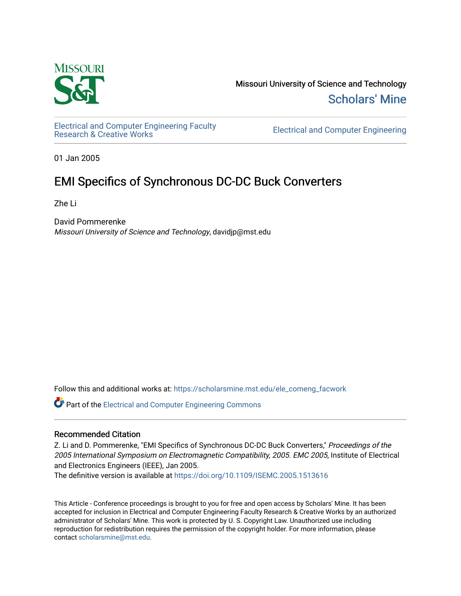

Missouri University of Science and Technology [Scholars' Mine](https://scholarsmine.mst.edu/) 

[Electrical and Computer Engineering Faculty](https://scholarsmine.mst.edu/ele_comeng_facwork)

**Electrical and Computer Engineering** 

01 Jan 2005

## EMI Specifics of Synchronous DC-DC Buck Converters

Zhe Li

David Pommerenke Missouri University of Science and Technology, davidjp@mst.edu

Follow this and additional works at: [https://scholarsmine.mst.edu/ele\\_comeng\\_facwork](https://scholarsmine.mst.edu/ele_comeng_facwork?utm_source=scholarsmine.mst.edu%2Fele_comeng_facwork%2F676&utm_medium=PDF&utm_campaign=PDFCoverPages)

**C** Part of the Electrical and Computer Engineering Commons

### Recommended Citation

Z. Li and D. Pommerenke, "EMI Specifics of Synchronous DC-DC Buck Converters," Proceedings of the 2005 International Symposium on Electromagnetic Compatibility, 2005. EMC 2005, Institute of Electrical and Electronics Engineers (IEEE), Jan 2005.

The definitive version is available at <https://doi.org/10.1109/ISEMC.2005.1513616>

This Article - Conference proceedings is brought to you for free and open access by Scholars' Mine. It has been accepted for inclusion in Electrical and Computer Engineering Faculty Research & Creative Works by an authorized administrator of Scholars' Mine. This work is protected by U. S. Copyright Law. Unauthorized use including reproduction for redistribution requires the permission of the copyright holder. For more information, please contact [scholarsmine@mst.edu](mailto:scholarsmine@mst.edu).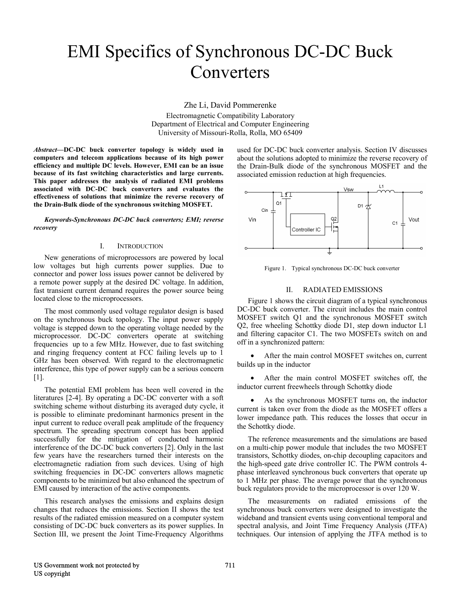# EMI Specifics of Synchronous DC-DC Buck Converters

Zhe Li, David Pommerenke Electromagnetic Compatibility Laboratory Department of Electrical and Computer Engineering University of Missouri-Rolla, Rolla, MO 65409

*Abstract***—DC-DC buck converter topology is widely used in computers and telecom applications because of its high power efficiency and multiple DC levels. However, EMI can be an issue because of its fast switching characteristics and large currents. This paper addresses the analysis of radiated EMI problems associated with DC-DC buck converters and evaluates the effectiveness of solutions that minimize the reverse recovery of the Drain-Bulk diode of the synchronous switching MOSFET.** 

*Keywords-Synchronous DC-DC buck converters; EMI; reverse recovery* 

#### I. INTRODUCTION

New generations of microprocessors are powered by local low voltages but high currents power supplies. Due to connector and power loss issues power cannot be delivered by a remote power supply at the desired DC voltage. In addition, fast transient current demand requires the power source being located close to the microprocessors.

The most commonly used voltage regulator design is based on the synchronous buck topology. The input power supply voltage is stepped down to the operating voltage needed by the microprocessor. DC-DC converters operate at switching frequencies up to a few MHz. However, due to fast switching and ringing frequency content at FCC failing levels up to 1 GHz has been observed. With regard to the electromagnetic interference, this type of power supply can be a serious concern [1].

The potential EMI problem has been well covered in the literatures [2-4]. By operating a DC-DC converter with a soft switching scheme without disturbing its averaged duty cycle, it is possible to eliminate predominant harmonics present in the input current to reduce overall peak amplitude of the frequency spectrum. The spreading spectrum concept has been applied successfully for the mitigation of conducted harmonic interference of the DC-DC buck converters [2]. Only in the last few years have the researchers turned their interests on the electromagnetic radiation from such devices. Using of high switching frequencies in DC-DC converters allows magnetic components to be minimized but also enhanced the spectrum of EMI caused by interaction of the active components.

This research analyses the emissions and explains design changes that reduces the emissions. Section II shows the test results of the radiated emission measured on a computer system consisting of DC-DC buck converters as its power supplies. In Section III, we present the Joint Time-Frequency Algorithms

used for DC-DC buck converter analysis. Section IV discusses about the solutions adopted to minimize the reverse recovery of the Drain-Bulk diode of the synchronous MOSFET and the associated emission reduction at high frequencies.



Figure 1. Typical synchronous DC-DC buck converter

#### II. RADIATED EMISSIONS

Figure 1 shows the circuit diagram of a typical synchronous DC-DC buck converter. The circuit includes the main control MOSFET switch Q1 and the synchronous MOSFET switch Q2, free wheeling Schottky diode D1, step down inductor L1 and filtering capacitor C1. The two MOSFETs switch on and off in a synchronized pattern:

After the main control MOSFET switches on, current builds up in the inductor

After the main control MOSFET switches off, the inductor current freewheels through Schottky diode

As the synchronous MOSFET turns on, the inductor current is taken over from the diode as the MOSFET offers a lower impedance path. This reduces the losses that occur in the Schottky diode.

The reference measurements and the simulations are based on a multi-chip power module that includes the two MOSFET transistors, Schottky diodes, on-chip decoupling capacitors and the high-speed gate drive controller IC. The PWM controls 4 phase interleaved synchronous buck converters that operate up to 1 MHz per phase. The average power that the synchronous buck regulators provide to the microprocessor is over 120 W.

The measurements on radiated emissions of the synchronous buck converters were designed to investigate the wideband and transient events using conventional temporal and spectral analysis, and Joint Time Frequency Analysis (JTFA) techniques. Our intension of applying the JTFA method is to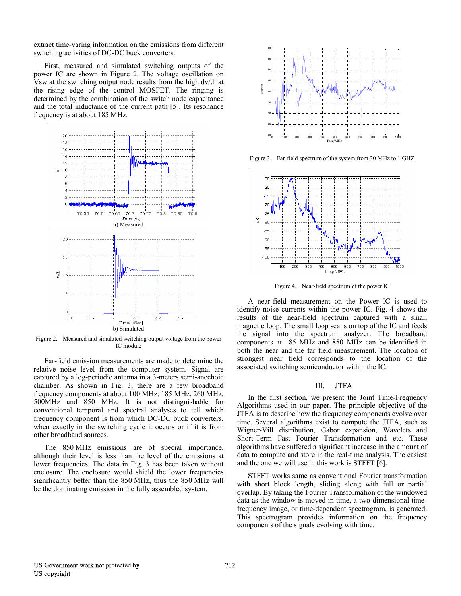extract time-varing information on the emissions from different switching activities of DC-DC buck converters.

First, measured and simulated switching outputs of the power IC are shown in Figure 2. The voltage oscillation on Vsw at the switching output node results from the high dv/dt at the rising edge of the control MOSFET. The ringing is determined by the combination of the switch node capacitance and the total inductance of the current path [5]. Its resonance frequency is at about 185 MHz.



Figure 2. Measured and simulated switching output voltage from the power IC module

Far-field emission measurements are made to determine the relative noise level from the computer system. Signal are captured by a log-periodic antenna in a 3-meters semi-anechoic chamber. As shown in Fig. 3, there are a few broadband frequency components at about 100 MHz, 185 MHz, 260 MHz, 500MHz and 850 MHz. It is not distinguishable for conventional temporal and spectral analyses to tell which frequency component is from which DC-DC buck converters, when exactly in the switching cycle it occurs or if it is from other broadband sources.

The 850 MHz emissions are of special importance, although their level is less than the level of the emissions at lower frequencies. The data in Fig. 3 has been taken without enclosure. The enclosure would shield the lower frequencies significantly better than the 850 MHz, thus the 850 MHz will be the dominating emission in the fully assembled system.



Figure 3. Far-field spectrum of the system from 30 MHz to 1 GHZ



Figure 4. Near-field spectrum of the power IC

A near-field measurement on the Power IC is used to identify noise currents within the power IC. Fig. 4 shows the results of the near-field spectrum captured with a small magnetic loop. The small loop scans on top of the IC and feeds the signal into the spectrum analyzer. The broadband components at 185 MHz and 850 MHz can be identified in both the near and the far field measurement. The location of strongest near field corresponds to the location of the associated switching semiconductor within the IC.

#### III. JTFA

In the first section, we present the Joint Time-Frequency Algorithms used in our paper. The principle objective of the JTFA is to describe how the frequency components evolve over time. Several algorithms exist to compute the JTFA, such as Wigner-Vill distribution, Gabor expansion, Wavelets and Short-Term Fast Fourier Transformation and etc. These algorithms have suffered a significant increase in the amount of data to compute and store in the real-time analysis. The easiest and the one we will use in this work is STFFT [6].

STFFT works same as conventional Fourier transformation with short block length, sliding along with full or partial overlap. By taking the Fourier Transformation of the windowed data as the window is moved in time, a two-dimensional timefrequency image, or time-dependent spectrogram, is generated. This spectrogram provides information on the frequency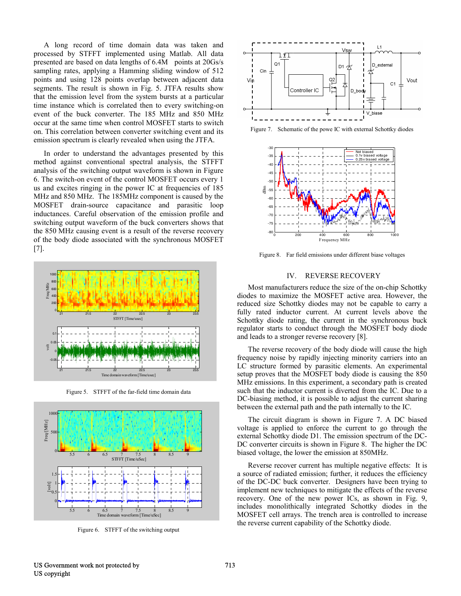A long record of time domain data was taken and processed by STFFT implemented using Matlab. All data presented are based on data lengths of 6.4M points at 20Gs/s sampling rates, applying a Hamming sliding window of 512 points and using 128 points overlap between adjacent data segments. The result is shown in Fig. 5. JTFA results show that the emission level from the system bursts at a particular time instance which is correlated then to every switching-on event of the buck converter. The 185 MHz and 850 MHz occur at the same time when control MOSFET starts to switch on. This correlation between converter switching event and its emission spectrum is clearly revealed when using the JTFA.

In order to understand the advantages presented by this method against conventional spectral analysis, the STFFT analysis of the switching output waveform is shown in Figure 6. The switch-on event of the control MOSFET occurs every 1 us and excites ringing in the power IC at frequencies of 185 MHz and 850 MHz. The 185MHz component is caused by the MOSFET drain-source capacitance and parasitic loop inductances. Careful observation of the emission profile and switching output waveform of the buck converters shows that the 850 MHz causing event is a result of the reverse recovery of the body diode associated with the synchronous MOSFET [7].



Figure 5. STFFT of the far-field time domain data



Figure 6. STFFT of the switching output



Figure 7. Schematic of the powe IC with external Schottky diodes



Figure 8. Far field emissions under different biase voltages

#### IV. REVERSE RECOVERY

Most manufacturers reduce the size of the on-chip Schottky diodes to maximize the MOSFET active area. However, the reduced size Schottky diodes may not be capable to carry a fully rated inductor current. At current levels above the Schottky diode rating, the current in the synchronous buck regulator starts to conduct through the MOSFET body diode and leads to a stronger reverse recovery [8].

The reverse recovery of the body diode will cause the high frequency noise by rapidly injecting minority carriers into an LC structure formed by parasitic elements. An experimental setup proves that the MOSFET body diode is causing the 850 MHz emissions. In this experiment, a secondary path is created such that the inductor current is diverted from the IC. Due to a DC-biasing method, it is possible to adjust the current sharing between the external path and the path internally to the IC.

The circuit diagram is shown in Figure 7. A DC biased voltage is applied to enforce the current to go through the external Schottky diode D1. The emission spectrum of the DC-DC converter circuits is shown in Figure 8. The higher the DC biased voltage, the lower the emission at 850MHz.

Reverse recover current has multiple negative effects: It is a source of radiated emission; further, it reduces the efficiency of the DC-DC buck converter. Designers have been trying to implement new techniques to mitigate the effects of the reverse recovery. One of the new power ICs, as shown in Fig. 9, includes monolithically integrated Schottky diodes in the MOSFET cell arrays. The trench area is controlled to increase the reverse current capability of the Schottky diode.